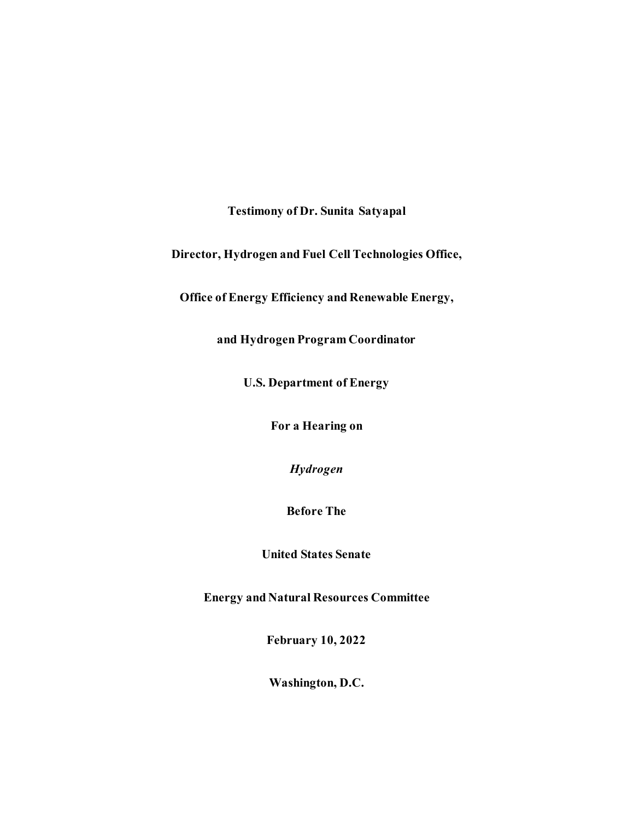**Testimony of Dr. Sunita Satyapal**

**Director, Hydrogen and Fuel Cell Technologies Office,**

**Office of Energy Efficiency and Renewable Energy,** 

**and Hydrogen Program Coordinator**

**U.S. Department of Energy**

**For a Hearing on**

*Hydrogen*

**Before The**

**United States Senate**

**Energy and Natural Resources Committee**

**February 10, 2022**

**Washington, D.C.**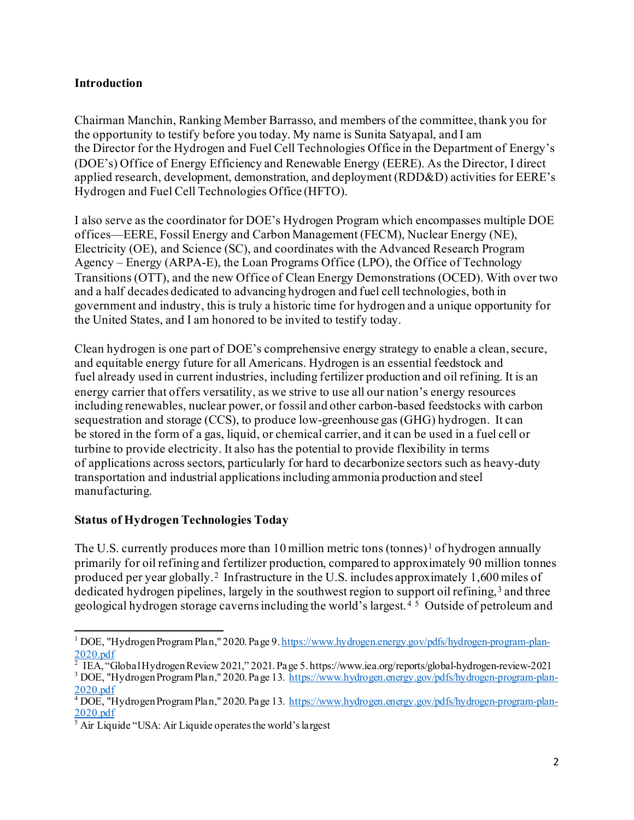#### **Introduction**

Chairman Manchin, Ranking Member Barrasso, and members of the committee, thank you for the opportunity to testify before you today. My name is Sunita Satyapal, and I am the Director for the Hydrogen and Fuel Cell Technologies Office in the Department of Energy's (DOE's) Office of Energy Efficiency and Renewable Energy (EERE). As the Director, I direct applied research, development, demonstration, and deployment (RDD&D) activities for EERE's Hydrogen and Fuel Cell Technologies Office (HFTO).

I also serve as the coordinator for DOE's Hydrogen Program which encompasses multiple DOE offices—EERE, Fossil Energy and Carbon Management (FECM), Nuclear Energy (NE), Electricity (OE), and Science (SC), and coordinates with the Advanced Research Program Agency – Energy (ARPA-E), the Loan Programs Office (LPO), the Office of Technology Transitions (OTT), and the new Office of Clean Energy Demonstrations (OCED). With over two and a half decades dedicated to advancing hydrogen and fuel cell technologies, both in government and industry, this is truly a historic time for hydrogen and a unique opportunity for the United States, and I am honored to be invited to testify today.

Clean hydrogen is one part of DOE's comprehensive energy strategy to enable a clean, secure, and equitable energy future for all Americans. Hydrogen is an essential feedstock and fuel already used in current industries, including fertilizer production and oil refining. It is an energy carrier that offers versatility, as we strive to use all our nation's energy resources including renewables, nuclear power, or fossil and other carbon-based feedstocks with carbon sequestration and storage (CCS), to produce low-greenhouse gas (GHG) hydrogen. It can be stored in the form of a gas, liquid, or chemical carrier, and it can be used in a fuel cell or turbine to provide electricity. It also has the potential to provide flexibility in terms of applications across sectors, particularly for hard to decarbonize sectors such as heavy-duty transportation and industrial applications including ammonia production and steel manufacturing.

#### **Status of Hydrogen Technologies Today**

The U.S. currently produces more than [1](#page-1-0)0 million metric tons (tonnes)<sup>1</sup> of hydrogen annually primarily for oil refining and fertilizer production, compared to approximately 90 million tonnes produced per year globally.[2](#page-1-1) Infrastructure in the U.S. includes approximately 1,600 miles of dedicated hydrogen pipelines, largely in the southwest region to support oil refining,<sup>[3](#page-1-2)</sup> and three geological hydrogen storage caverns including the world's largest. [4](#page-1-3) [5](#page-1-4) Outside of petroleum and

<span id="page-1-0"></span><sup>1</sup> DOE, "Hydrogen Program Plan," 2020. Page 9[. https://www.hydrogen.energy.gov/pdfs/hydrogen-program-plan-](https://www.hydrogen.energy.gov/pdfs/hydrogen-program-plan-2020.pdf) $\frac{2020 \cdot \text{pdf}}{2}$  IEA, "Global Hydrogen Review 2021," 2021. Page 5. https://www.iea.org/reports/global-hydrogen-review-2021

<span id="page-1-2"></span><span id="page-1-1"></span><sup>&</sup>lt;sup>3</sup> DOE, "Hydrogen Program Plan," 2020. Page 13. [https://www.hydrogen.energy.gov/pdfs/hydrogen-program-plan-](https://www.hydrogen.energy.gov/pdfs/hydrogen-program-plan-2020.pdf)[2020.pdf](https://www.hydrogen.energy.gov/pdfs/hydrogen-program-plan-2020.pdf)

<span id="page-1-3"></span><sup>&</sup>lt;sup>4</sup> DOE, "Hydrogen Program Plan," 2020. Page 13. [https://www.hydrogen.energy.gov/pdfs/hydrogen-program-plan-](https://www.hydrogen.energy.gov/pdfs/hydrogen-program-plan-2020.pdf)[2020.pdf](https://www.hydrogen.energy.gov/pdfs/hydrogen-program-plan-2020.pdf)

<span id="page-1-4"></span> $<sup>5</sup>$  Air Liquide "USA: Air Liquide operates the world's largest</sup>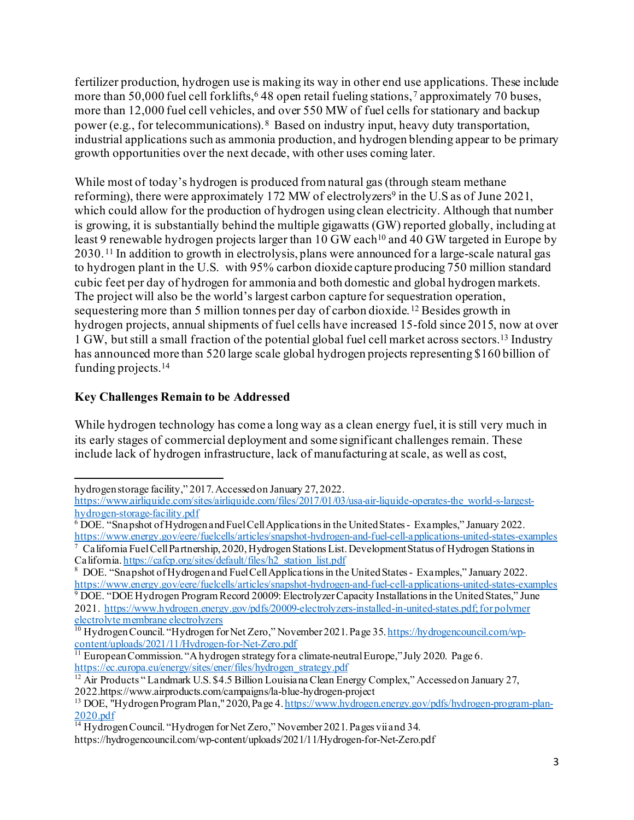fertilizer production, hydrogen use is making its way in other end use applications. These include more than 50,000 fuel cell forklifts,  $648$  $648$  open retail fueling stations,  $7$  approximately 70 buses, more than 12,000 fuel cell vehicles, and over 550 MW of fuel cells for stationary and backup power (e.g., for telecommunications).[8](#page-2-2) Based on industry input, heavy duty transportation, industrial applications such as ammonia production, and hydrogen blending appear to be primary growth opportunities over the next decade, with other uses coming later.

While most of today's hydrogen is produced from natural gas (through steam methane reforming), there were approximately 172 MW of electrolyzers<sup>9</sup> in the U.S as of June 2021, which could allow for the production of hydrogen using clean electricity. Although that number is growing, it is substantially behind the multiple gigawatts (GW) reported globally, including at least 9 renewable hydrogen projects larger than [10](#page-2-4) GW each<sup>10</sup> and 40 GW targeted in Europe by 2030. [11](#page-2-5) In addition to growth in electrolysis, plans were announced for a large-scale natural gas to hydrogen plant in the U.S. with 95% carbon dioxide capture producing 750 million standard cubic feet per day of hydrogen for ammonia and both domestic and global hydrogen markets. The project will also be the world's largest carbon capture for sequestration operation, sequestering more than 5 million tonnes per day of carbon dioxide.<sup>[12](#page-2-6)</sup> Besides growth in hydrogen projects, annual shipments of fuel cells have increased 15-fold since 2015, now at over 1 GW, but still a small fraction of the potential global fuel cell market across sectors. [13](#page-2-7) Industry has announced more than 520 large scale global hydrogen projects representing \$160 billion of funding projects. [14](#page-2-8)

## **Key Challenges Remain to be Addressed**

While hydrogen technology has come a long way as a clean energy fuel, it is still very much in its early stages of commercial deployment and some significant challenges remain. These include lack of hydrogen infrastructure, lack of manufacturing at scale, as well as cost,

hydrogen storage facility," 2017. Accessed on January 27, 2022.

[https://www.airliquide.com/sites/airliquide.com/files/2017/01/03/usa-air-liquide-operates-the\\_world-s-largest-](https://www.airliquide.com/sites/airliquide.com/files/2017/01/03/usa-air-liquide-operates-the_world-s-largest-hydrogen-storage-facility.pdf)

<span id="page-2-0"></span> $\overline{6}$  DOE. "Snapshot of Hydrogen and Fuel Cell Applications in the United States - Examples," January 2022. <https://www.energy.gov/eere/fuelcells/articles/snapshot-hydrogen-and-fuel-cell-applications-united-states-examples>

<span id="page-2-1"></span><sup>7</sup> California Fuel Cell Partnership, 2020, Hydrogen Stations List. Development Status of Hydrogen Stations in Californi[a. https://cafcp.org/sites/default/files/h2\\_station\\_list.pdf](https://cafcp.org/sites/default/files/h2_station_list.pdf)

<span id="page-2-2"></span><sup>&</sup>lt;sup>8</sup> DOE. "Snapshot of Hydrogen and Fuel Cell Applications in the United States - Examples," January 2022. <https://www.energy.gov/eere/fuelcells/articles/snapshot-hydrogen-and-fuel-cell-applications-united-states-examples> 9 DOE. "DOE Hydrogen Program Record 20009: Electrolyzer Capacity Installations in the United States," June

<span id="page-2-3"></span><sup>2021</sup>[. https://www.hydrogen.energy.gov/pdfs/20009-electrolyzers-installed-in-united-states.pdf](https://www.hydrogen.energy.gov/pdfs/20009-electrolyzers-installed-in-united-states.pdf); for polymer electrolyte membrane electrolyzers

<span id="page-2-4"></span><sup>&</sup>lt;sup>10</sup> Hydrogen Council. "Hydrogen for Net Zero," November 2021. Page 35. [https://hydrogencouncil.com/wp](https://hydrogencouncil.com/wp-content/uploads/2021/11/Hydrogen-for-Net-Zero.pdf)[content/uploads/2021/11/Hydrogen-for-Net-Zero.pdf](https://hydrogencouncil.com/wp-content/uploads/2021/11/Hydrogen-for-Net-Zero.pdf)<br><sup>11</sup> European Commission. "A hydrogen strategy for a climate-neutral Europe," July 2020. Page 6.

<span id="page-2-5"></span>[https://ec.europa.eu/energy/sites/ener/files/hydrogen\\_strategy.pdf](https://ec.europa.eu/energy/sites/ener/files/hydrogen_strategy.pdf)

<span id="page-2-6"></span><sup>&</sup>lt;sup>12</sup> Air Products " Landmark U.S. \$4.5 Billion Louisiana Clean Energy Complex," Accessed on January 27, 2022.https://www.airproducts.com/campaigns/la-blue-hydrogen-project

<span id="page-2-7"></span><sup>13</sup> DOE, "Hydrogen Program Plan," 2020, Page 4. [https://www.hydrogen.energy.gov/pdfs/hydrogen-program-plan-](https://www.hydrogen.energy.gov/pdfs/hydrogen-program-plan-2020.pdf)

<span id="page-2-8"></span>[<sup>2020.</sup>pdf](https://www.hydrogen.energy.gov/pdfs/hydrogen-program-plan-2020.pdf) <sup>14</sup> Hydrogen Council. "Hydrogen for Net Zero," November 2021. Pages vii and 34.

https://hydrogencouncil.com/wp-content/uploads/2021/11/Hydrogen-for-Net-Zero.pdf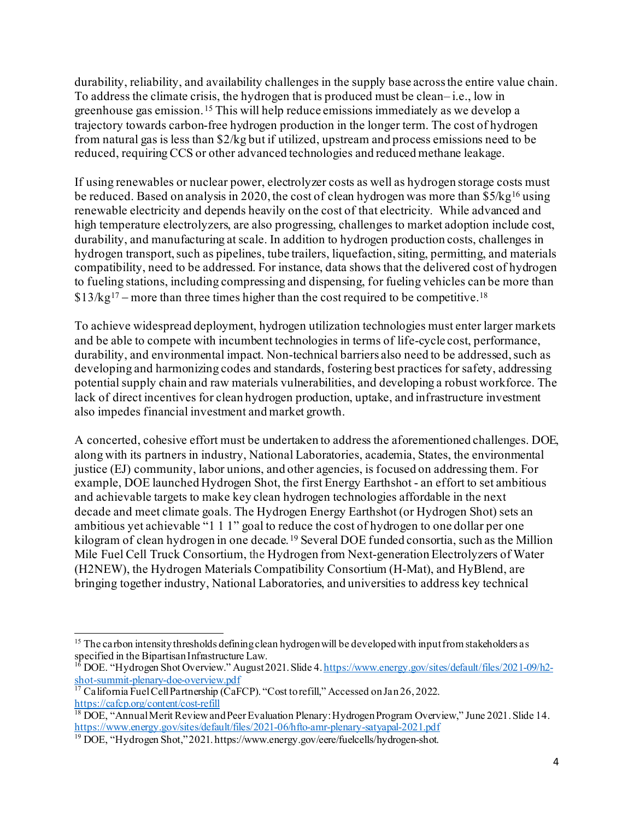durability, reliability, and availability challenges in the supply base across the entire value chain. To address the climate crisis, the hydrogen that is produced must be clean– i.e., low in greenhouse gas emission. [15](#page-3-0) This will help reduce emissions immediately as we develop a trajectory towards carbon-free hydrogen production in the longer term. The cost of hydrogen from natural gas is less than \$2/kg but if utilized, upstream and process emissions need to be reduced, requiring CCS or other advanced technologies and reduced methane leakage.

If using renewables or nuclear power, electrolyzer costs as well as hydrogen storage costs must be reduced. Based on analysis in 2020, the cost of clean hydrogen was more than  $$5/kg^{16}$  $$5/kg^{16}$  $$5/kg^{16}$  using renewable electricity and depends heavily on the cost of that electricity. While advanced and high temperature electrolyzers, are also progressing, challenges to market adoption include cost, durability, and manufacturing at scale. In addition to hydrogen production costs, challenges in hydrogen transport, such as pipelines, tube trailers, liquefaction, siting, permitting, and materials compatibility, need to be addressed. For instance, data shows that the delivered cost of hydrogen to fueling stations, including compressing and dispensing, for fueling vehicles can be more than  $$13/kg^{17}$  $$13/kg^{17}$  $$13/kg^{17}$  – more than three times higher than the cost required to be competitive.<sup>[18](#page-3-3)</sup>

To achieve widespread deployment, hydrogen utilization technologies must enter larger markets and be able to compete with incumbent technologies in terms of life-cycle cost, performance, durability, and environmental impact. Non-technical barriers also need to be addressed, such as developing and harmonizing codes and standards, fostering best practices for safety, addressing potential supply chain and raw materials vulnerabilities, and developing a robust workforce. The lack of direct incentives for clean hydrogen production, uptake, and infrastructure investment also impedes financial investment and market growth.

A concerted, cohesive effort must be undertaken to address the aforementioned challenges. DOE, along with its partners in industry, National Laboratories, academia, States, the environmental justice (EJ) community, labor unions, and other agencies, is focused on addressing them. For example, DOE launched Hydrogen Shot, the first Energy Earthshot - an effort to set ambitious and achievable targets to make key clean hydrogen technologies affordable in the next decade and meet climate goals. The Hydrogen Energy Earthshot (or Hydrogen Shot) sets an ambitious yet achievable "1 1 1" goal to reduce the cost of hydrogen to one dollar per one kilogram of clean hydrogen in one decade. [19](#page-3-4) Several DOE funded consortia, such as the Million Mile Fuel Cell Truck Consortium, the Hydrogen from Next-generation Electrolyzers of Water (H2NEW), the Hydrogen Materials Compatibility Consortium (H-Mat), and HyBlend, are bringing together industry, National Laboratories, and universities to address key technical

<span id="page-3-0"></span><sup>&</sup>lt;sup>15</sup> The carbon intensity thresholds defining clean hydrogen will be developed with input from stakeholders as specified in the Bipartisan Infrastructure Law.

<span id="page-3-1"></span><sup>&</sup>lt;sup>16</sup> DOE. "Hydrogen Shot Overview." August 2021. Slide 4[. https://www.energy.gov/sites/default/files/2021-09/h2-](https://www.energy.gov/sites/default/files/2021-09/h2-shot-summit-plenary-doe-overview.pdf)<br>shot-summit-plenary-doe-overview.pdf

<span id="page-3-2"></span> $\frac{17}{17}$ California Fuel Cell Partnership (CaFCP). "Cost to refill," Accessed on Jan 26, 2022.<br>https://cafcp.org/content/cost-refill

<span id="page-3-3"></span> $\frac{18}{18}$  DOE, "Annual Merit Review and Peer Evaluation Plenary: Hydrogen Program Overview," June 2021. Slide 14. <https://www.energy.gov/sites/default/files/2021-06/hfto-amr-plenary-satyapal-2021.pdf>

<span id="page-3-4"></span><sup>&</sup>lt;sup>19</sup> DOE, "Hydrogen Shot," 2021. https://www.energy.gov/eere/fuelcells/hydrogen-shot.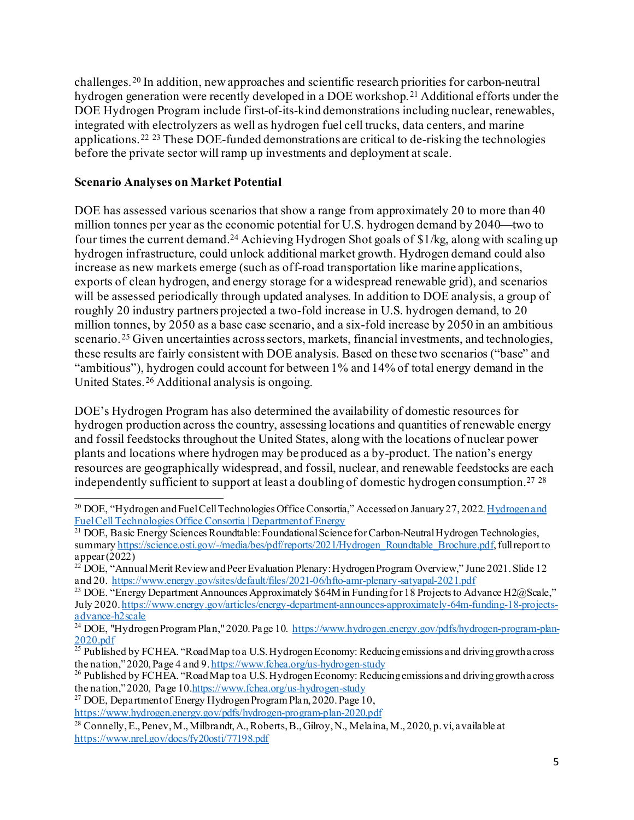challenges. [20](#page-4-0) In addition, new approaches and scientific research priorities for carbon-neutral hydrogen generation were recently developed in a DOE workshop. [21](#page-4-1) Additional efforts under the DOE Hydrogen Program include first-of-its-kind demonstrations including nuclear, renewables, integrated with electrolyzers as well as hydrogen fuel cell trucks, data centers, and marine applications.[22](#page-4-2) [23](#page-4-3) These DOE-funded demonstrations are critical to de-risking the technologies before the private sector will ramp up investments and deployment at scale.

### **Scenario Analyses on Market Potential**

DOE has assessed various scenarios that show a range from approximately 20 to more than 40 million tonnes per year as the economic potential for U.S. hydrogen demand by 2040—two to four times the current demand[.24](#page-4-4) Achieving Hydrogen Shot goals of \$1/kg, along with scaling up hydrogen infrastructure, could unlock additional market growth. Hydrogen demand could also increase as new markets emerge (such as off-road transportation like marine applications, exports of clean hydrogen, and energy storage for a widespread renewable grid), and scenarios will be assessed periodically through updated analyses. In addition to DOE analysis, a group of roughly 20 industry partners projected a two-fold increase in U.S. hydrogen demand, to 20 million tonnes, by 2050 as a base case scenario, and a six-fold increase by 2050 in an ambitious scenario.[25](#page-4-5) Given uncertainties across sectors, markets, financial investments, and technologies, these results are fairly consistent with DOE analysis. Based on these two scenarios ("base" and "ambitious"), hydrogen could account for between 1% and 14% of total energy demand in the United States.[26](#page-4-6) Additional analysis is ongoing.

DOE's Hydrogen Program has also determined the availability of domestic resources for hydrogen production across the country, assessing locations and quantities of renewable energy and fossil feedstocks throughout the United States, along with the locations of nuclear power plants and locations where hydrogen may be produced as a by-product. The nation's energy resources are geographically widespread, and fossil, nuclear, and renewable feedstocks are each independently sufficient to support at least a doubling of domestic hydrogen consumption.<sup>[27](#page-4-7)</sup>  $^{28}$  $^{28}$  $^{28}$ 

<span id="page-4-0"></span><sup>&</sup>lt;sup>20</sup> DOE. "Hydrogen and Fuel Cell Technologies Office Consortia," Accessed on January 27, 2022. Hydrogen and [Fuel Cell Technologies Office Consortia | Department of Energy](https://www.energy.gov/eere/fuelcells/hydrogen-and-fuel-cell-technologies-office-consortia)

<span id="page-4-1"></span><sup>&</sup>lt;sup>21</sup> DOE, Basic Energy Sciences Roundtable: Foundational Science for Carbon-Neutral Hydrogen Technologies, summar[y https://science.osti.gov/-/media/bes/pdf/reports/2021/Hydrogen\\_Roundtable\\_Brochure.pdf](https://science.osti.gov/-/media/bes/pdf/reports/2021/Hydrogen_Roundtable_Brochure.pdf), full report to appear (2022)

<span id="page-4-2"></span><sup>&</sup>lt;sup>22</sup> DOE, "Annual Merit Review and Peer Evaluation Plenary: Hydrogen Program Overview," June 2021. Slide 12 and 20[. https://www.energy.gov/sites/default/files/2021-06/hfto-amr-plenary-satyapal-2021.pdf](https://www.energy.gov/sites/default/files/2021-06/hfto-amr-plenary-satyapal-2021.pdf)

<span id="page-4-3"></span><sup>&</sup>lt;sup>23</sup> DOE. "Energy Department Announces Approximately \$64M in Funding for 18 Projects to Advance H2@Scale," July 2020[. https://www.energy.gov/articles/energy-department-announces-approximately-64m-funding-18-projects](https://www.energy.gov/articles/energy-department-announces-approximately-64m-funding-18-projects-advance-h2scale)[advance-h2scale](https://www.energy.gov/articles/energy-department-announces-approximately-64m-funding-18-projects-advance-h2scale)

<span id="page-4-4"></span><sup>&</sup>lt;sup>24</sup> DOE, "Hydrogen Program Plan," 2020. Page 10. [https://www.hydrogen.energy.gov/pdfs/hydrogen-program-plan-](https://www.hydrogen.energy.gov/pdfs/hydrogen-program-plan-2020.pdf)[2020.pdf](https://www.hydrogen.energy.gov/pdfs/hydrogen-program-plan-2020.pdf)

<span id="page-4-5"></span><sup>&</sup>lt;sup>25</sup> Published by FCHEA. "Road Map to a U.S. Hydrogen Economy: Reducing emissions and driving growth across the nation," 2020, Page 4 and 9[. https://www.fchea.org/us-hydrogen-study](https://www.fchea.org/us-hydrogen-study) 26<br>26 Published by FCHEA. "Road Map to a U.S. Hydrogen Economy: Reducing emissions and driving growth across

<span id="page-4-6"></span>the nation," 2020, Page 1[0.https://www.fchea.org/us-hydrogen-study](https://www.fchea.org/us-hydrogen-study)

<span id="page-4-7"></span><sup>&</sup>lt;sup>27</sup> DOE, Department of Energy Hydrogen Program Plan, 2020. Page 10,

<https://www.hydrogen.energy.gov/pdfs/hydrogen-program-plan-2020.pdf>

<span id="page-4-8"></span><sup>&</sup>lt;sup>28</sup> Connelly, E., Penev, M., Milbrandt, A., Roberts, B., Gilroy, N., Melaina, M., 2020, p. vi, available at <https://www.nrel.gov/docs/fy20osti/77198.pdf>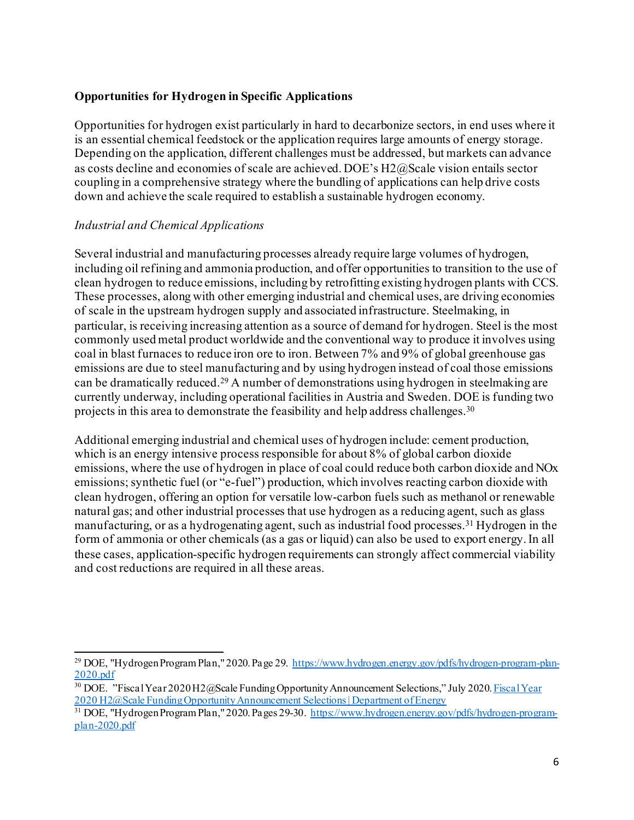#### **Opportunities for Hydrogen in Specific Applications**

Opportunities for hydrogen exist particularly in hard to decarbonize sectors, in end uses where it is an essential chemical feedstock or the application requires large amounts of energy storage. Depending on the application, different challenges must be addressed, but markets can advance as costs decline and economies of scale are achieved. DOE's H2@Scale vision entails sector coupling in a comprehensive strategy where the bundling of applications can help drive costs down and achieve the scale required to establish a sustainable hydrogen economy.

#### *Industrial and Chemical Applications*

Several industrial and manufacturing processes already require large volumes of hydrogen, including oil refining and ammonia production, and offer opportunities to transition to the use of clean hydrogen to reduce emissions, including by retrofitting existing hydrogen plants with CCS. These processes, along with other emerging industrial and chemical uses, are driving economies of scale in the upstream hydrogen supply and associated infrastructure. Steelmaking, in particular, is receiving increasing attention as a source of demand for hydrogen. Steel is the most commonly used metal product worldwide and the conventional way to produce it involves using coal in blast furnaces to reduce iron ore to iron. Between 7% and 9% of global greenhouse gas emissions are due to steel manufacturing and by using hydrogen instead of coal those emissions can be dramatically reduced.[29](#page-5-0) A number of demonstrations using hydrogen in steelmaking are currently underway, including operational facilities in Austria and Sweden. DOE is funding two projects in this area to demonstrate the feasibility and help address challenges[.30](#page-5-1)

Additional emerging industrial and chemical uses of hydrogen include: cement production, which is an energy intensive process responsible for about 8% of global carbon dioxide emissions, where the use of hydrogen in place of coal could reduce both carbon dioxide and NOx emissions; synthetic fuel (or "e-fuel") production, which involves reacting carbon dioxide with clean hydrogen, offering an option for versatile low-carbon fuels such as methanol or renewable natural gas; and other industrial processes that use hydrogen as a reducing agent, such as glass manufacturing, or as a hydrogenating agent, such as industrial food processes.[31](#page-5-2) Hydrogen in the form of ammonia or other chemicals (as a gas or liquid) can also be used to export energy. In all these cases, application-specific hydrogen requirements can strongly affect commercial viability and cost reductions are required in all these areas.

<span id="page-5-0"></span><sup>&</sup>lt;sup>29</sup> DOE, "Hydrogen Program Plan," 2020. Page 29. [https://www.hydrogen.energy.gov/pdfs/hydrogen-program-plan-](https://www.hydrogen.energy.gov/pdfs/hydrogen-program-plan-2020.pdf)[2020.pdf](https://www.hydrogen.energy.gov/pdfs/hydrogen-program-plan-2020.pdf)

<span id="page-5-1"></span><sup>&</sup>lt;sup>30</sup> DOE. "Fiscal Year 2020 H2@Scale Funding Opportunity Announcement Selections," July 2020. **Fiscal Year** [2020 H2@Scale Funding Opportunity Announcement Selections | Department of Energy](https://www.energy.gov/eere/fuelcells/downloads/fiscal-year-2020-h2scale-funding-opportunity-announcement-selections)

<span id="page-5-2"></span><sup>&</sup>lt;sup>31</sup> DOE, "Hydrogen Program Plan," 2020. Pages 29-30[. https://www.hydrogen.energy.gov/pdfs/hydrogen-program](https://www.hydrogen.energy.gov/pdfs/hydrogen-program-plan-2020.pdf)[plan-2020.pdf](https://www.hydrogen.energy.gov/pdfs/hydrogen-program-plan-2020.pdf)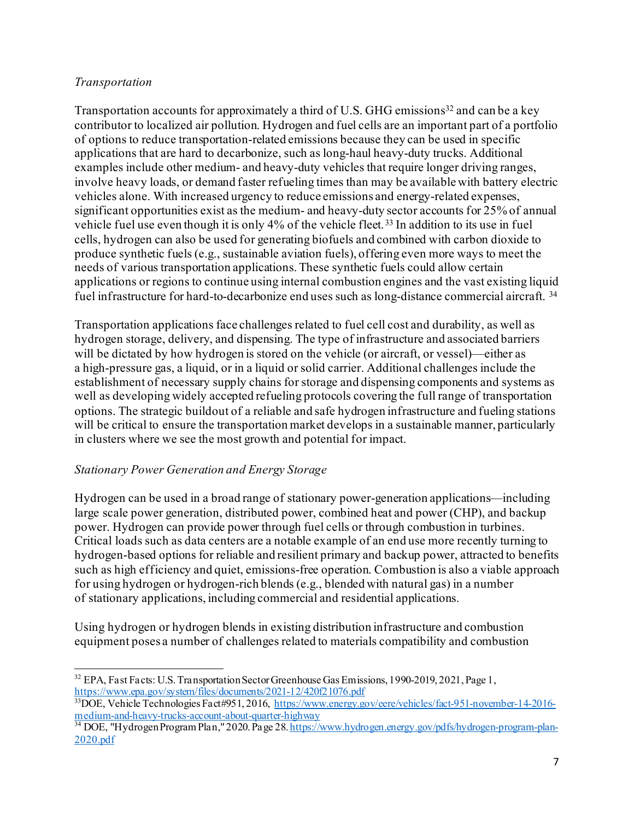#### *Transportation*

Transportation accounts for approximately a third of U.S. GHG emissions<sup>32</sup> and can be a key contributor to localized air pollution. Hydrogen and fuel cells are an important part of a portfolio of options to reduce transportation-related emissions because they can be used in specific applications that are hard to decarbonize, such as long-haul heavy-duty trucks. Additional examples include other medium- and heavy-duty vehicles that require longer driving ranges, involve heavy loads, or demand faster refueling times than may be available with battery electric vehicles alone. With increased urgency to reduce emissions and energy-related expenses, significant opportunities exist as the medium- and heavy-duty sector accounts for 25% of annual vehicle fuel use even though it is only 4% of the vehicle fleet. [33](#page-6-1) In addition to its use in fuel cells, hydrogen can also be used for generating biofuels and combined with carbon dioxide to produce synthetic fuels (e.g., sustainable aviation fuels), offering even more ways to meet the needs of various transportation applications. These synthetic fuels could allow certain applications or regions to continue using internal combustion engines and the vast existing liquid fuel infrastructure for hard-to-decarbonize end uses such as long-distance commercial aircraft. [34](#page-6-2)

Transportation applications face challenges related to fuel cell cost and durability, as well as hydrogen storage, delivery, and dispensing. The type of infrastructure and associated barriers will be dictated by how hydrogen is stored on the vehicle (or aircraft, or vessel)—either as a high-pressure gas, a liquid, or in a liquid or solid carrier. Additional challenges include the establishment of necessary supply chains for storage and dispensing components and systems as well as developing widely accepted refueling protocols covering the full range of transportation options. The strategic buildout of a reliable and safe hydrogen infrastructure and fueling stations will be critical to ensure the transportation market develops in a sustainable manner, particularly in clusters where we see the most growth and potential for impact.

#### *Stationary Power Generation and Energy Storage*

Hydrogen can be used in a broad range of stationary power-generation applications—including large scale power generation, distributed power, combined heat and power (CHP), and backup power. Hydrogen can provide power through fuel cells or through combustion in turbines. Critical loads such as data centers are a notable example of an end use more recently turning to hydrogen-based options for reliable and resilient primary and backup power, attracted to benefits such as high efficiency and quiet, emissions-free operation. Combustion is also a viable approach for using hydrogen or hydrogen-rich blends (e.g., blended with natural gas) in a number of stationary applications, including commercial and residential applications.

Using hydrogen or hydrogen blends in existing distribution infrastructure and combustion equipment poses a number of challenges related to materials compatibility and combustion

<span id="page-6-0"></span><sup>&</sup>lt;sup>32</sup> EPA, Fast Facts: U.S. Transportation Sector Greenhouse Gas Emissions, 1990-2019, 2021, Page 1, <https://www.epa.gov/system/files/documents/2021-12/420f21076.pdf>

<span id="page-6-1"></span><sup>&</sup>lt;sup>33</sup>DOE, Vehicle Technologies Fact#951, 2016[, https://www.energy.gov/eere/vehicles/fact-951-november-14-2016](https://www.energy.gov/eere/vehicles/fact-951-november-14-2016-medium-and-heavy-trucks-account-about-quarter-highway) [medium-and-heavy-trucks-account-about-quarter-highway](https://www.energy.gov/eere/vehicles/fact-951-november-14-2016-medium-and-heavy-trucks-account-about-quarter-highway)<br><sup>34</sup> DOE, "Hydrogen Program Plan," 2020. Page 28[. https://www.hydrogen.energy.gov/pdfs/hydrogen-program-plan-](https://www.hydrogen.energy.gov/pdfs/hydrogen-program-plan-2020.pdf)

<span id="page-6-2"></span>[<sup>2020.</sup>pdf](https://www.hydrogen.energy.gov/pdfs/hydrogen-program-plan-2020.pdf)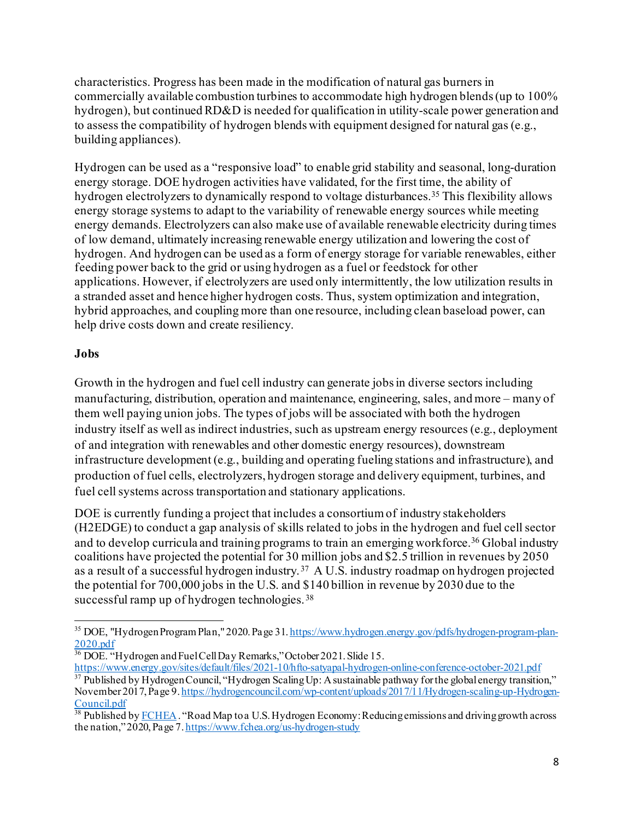characteristics. Progress has been made in the modification of natural gas burners in commercially available combustion turbines to accommodate high hydrogen blends (up to 100% hydrogen), but continued RD&D is needed for qualification in utility-scale power generation and to assess the compatibility of hydrogen blends with equipment designed for natural gas (e.g., building appliances).

Hydrogen can be used as a "responsive load" to enable grid stability and seasonal, long-duration energy storage. DOE hydrogen activities have validated, for the first time, the ability of hydrogen electrolyzers to dynamically respond to voltage disturbances.[35](#page-7-0) This flexibility allows energy storage systems to adapt to the variability of renewable energy sources while meeting energy demands. Electrolyzers can also make use of available renewable electricity during times of low demand, ultimately increasing renewable energy utilization and lowering the cost of hydrogen. And hydrogen can be used as a form of energy storage for variable renewables, either feeding power back to the grid or using hydrogen as a fuel or feedstock for other applications. However, if electrolyzers are used only intermittently, the low utilization results in a stranded asset and hence higher hydrogen costs. Thus, system optimization and integration, hybrid approaches, and coupling more than one resource, including clean baseload power, can help drive costs down and create resiliency.

#### **Jobs**

Growth in the hydrogen and fuel cell industry can generate jobs in diverse sectors including manufacturing, distribution, operation and maintenance, engineering, sales, and more – many of them well paying union jobs. The types of jobs will be associated with both the hydrogen industry itself as well as indirect industries, such as upstream energy resources (e.g., deployment of and integration with renewables and other domestic energy resources), downstream infrastructure development (e.g., building and operating fueling stations and infrastructure), and production of fuel cells, electrolyzers, hydrogen storage and delivery equipment, turbines, and fuel cell systems across transportation and stationary applications.

DOE is currently funding a project that includes a consortium of industry stakeholders (H2EDGE) to conduct a gap analysis of skills related to jobs in the hydrogen and fuel cell sector and to develop curricula and training programs to train an emerging workforce.<sup>[36](#page-7-1)</sup> Global industry coalitions have projected the potential for 30 million jobs and \$2.5 trillion in revenues by 2050 as a result of a successful hydrogen industry. [37](#page-7-2) A U.S. industry roadmap on hydrogen projected the potential for 700,000 jobs in the U.S. and \$140 billion in revenue by 2030 due to the successful ramp up of hydrogen technologies. [38](#page-7-3)

<span id="page-7-0"></span><sup>35</sup> DOE, "Hydrogen Program Plan," 2020. Page 31[. https://www.hydrogen.energy.gov/pdfs/hydrogen-program-plan-](https://www.hydrogen.energy.gov/pdfs/hydrogen-program-plan-2020.pdf)[2020.pdf](https://www.hydrogen.energy.gov/pdfs/hydrogen-program-plan-2020.pdf)

<span id="page-7-1"></span> $36$  DOE. "Hydrogen and Fuel Cell Day Remarks," October 2021. Slide 15.

<span id="page-7-2"></span><https://www.energy.gov/sites/default/files/2021-10/hfto-satyapal-hydrogen-online-conference-october-2021.pdf> <sup>37</sup> Published by Hydrogen Council, "Hydrogen Scaling Up: A sustainable pathway for the global energy transition," November 2017, Page 9[. https://hydrogencouncil.com/wp-content/uploads/2017/11/Hydrogen-scaling-up-Hydrogen-](https://hydrogencouncil.com/wp-content/uploads/2017/11/Hydrogen-scaling-up-Hydrogen-Council.pdf)[Council.pdf](https://hydrogencouncil.com/wp-content/uploads/2017/11/Hydrogen-scaling-up-Hydrogen-Council.pdf)

<span id="page-7-3"></span> $38$  Published b[y FCHEA](https://www.fchea.org/). "Road Map to a U.S. Hydrogen Economy: Reducing emissions and driving growth across the nation," 2020, Page 7[. https://www.fchea.org/us-hydrogen-study](https://www.fchea.org/us-hydrogen-study)